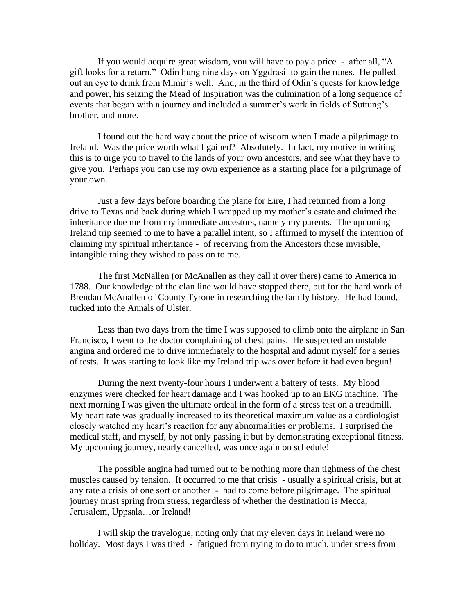If you would acquire great wisdom, you will have to pay a price - after all, "A gift looks for a return." Odin hung nine days on Yggdrasil to gain the runes. He pulled out an eye to drink from Mimir's well. And, in the third of Odin's quests for knowledge and power, his seizing the Mead of Inspiration was the culmination of a long sequence of events that began with a journey and included a summer's work in fields of Suttung's brother, and more.

I found out the hard way about the price of wisdom when I made a pilgrimage to Ireland. Was the price worth what I gained? Absolutely. In fact, my motive in writing this is to urge you to travel to the lands of your own ancestors, and see what they have to give you. Perhaps you can use my own experience as a starting place for a pilgrimage of your own.

Just a few days before boarding the plane for Eire, I had returned from a long drive to Texas and back during which I wrapped up my mother's estate and claimed the inheritance due me from my immediate ancestors, namely my parents. The upcoming Ireland trip seemed to me to have a parallel intent, so I affirmed to myself the intention of claiming my spiritual inheritance - of receiving from the Ancestors those invisible, intangible thing they wished to pass on to me.

The first McNallen (or McAnallen as they call it over there) came to America in 1788. Our knowledge of the clan line would have stopped there, but for the hard work of Brendan McAnallen of County Tyrone in researching the family history. He had found, tucked into the Annals of Ulster,

Less than two days from the time I was supposed to climb onto the airplane in San Francisco, I went to the doctor complaining of chest pains. He suspected an unstable angina and ordered me to drive immediately to the hospital and admit myself for a series of tests. It was starting to look like my Ireland trip was over before it had even begun!

 During the next twenty-four hours I underwent a battery of tests. My blood enzymes were checked for heart damage and I was hooked up to an EKG machine. The next morning I was given the ultimate ordeal in the form of a stress test on a treadmill. My heart rate was gradually increased to its theoretical maximum value as a cardiologist closely watched my heart's reaction for any abnormalities or problems. I surprised the medical staff, and myself, by not only passing it but by demonstrating exceptional fitness. My upcoming journey, nearly cancelled, was once again on schedule!

The possible angina had turned out to be nothing more than tightness of the chest muscles caused by tension. It occurred to me that crisis - usually a spiritual crisis, but at any rate a crisis of one sort or another - had to come before pilgrimage. The spiritual journey must spring from stress, regardless of whether the destination is Mecca, Jerusalem, Uppsala…or Ireland!

I will skip the travelogue, noting only that my eleven days in Ireland were no holiday. Most days I was tired - fatigued from trying to do to much, under stress from